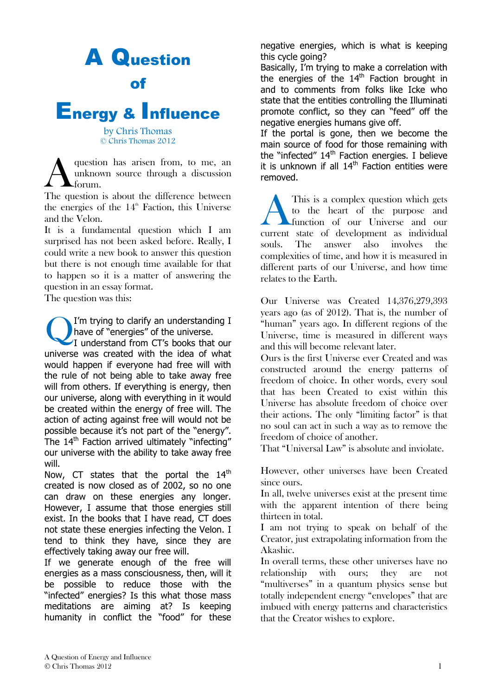# A Question of

# Energy & Influence

by Chris Thomas © Chris Thomas 2012

question has arisen from, to me, an unknown source through a discussion forum.  $\overline{A}$ 

The question is about the difference between the energies of the  $14<sup>th</sup>$  Faction, this Universe and the Velon.

It is a fundamental question which I am surprised has not been asked before. Really, I could write a new book to answer this question but there is not enough time available for that to happen so it is a matter of answering the question in an essay format.

The question was this:

I'm trying to clarify an understanding I have of "energies" of the universe. I understand from CT's books that our universe was created with the idea of what would happen if everyone had free will with the rule of not being able to take away free will from others. If everything is energy, then our universe, along with everything in it would be created within the energy of free will. The action of acting against free will would not be possible because it's not part of the "energy". The 14<sup>th</sup> Faction arrived ultimately "infecting" our universe with the ability to take away free will. Q

Now, CT states that the portal the  $14<sup>th</sup>$ created is now closed as of 2002, so no one can draw on these energies any longer. However, I assume that those energies still exist. In the books that I have read, CT does not state these energies infecting the Velon. I tend to think they have, since they are effectively taking away our free will.

If we generate enough of the free will energies as a mass consciousness, then, will it be possible to reduce those with the "infected" energies? Is this what those mass meditations are aiming at? Is keeping humanity in conflict the "food" for these negative energies, which is what is keeping this cycle going?

Basically, I'm trying to make a correlation with the energies of the  $14<sup>th</sup>$  Faction brought in and to comments from folks like Icke who state that the entities controlling the Illuminati promote conflict, so they can "feed" off the negative energies humans give off.

If the portal is gone, then we become the main source of food for those remaining with the "infected"  $14<sup>th</sup>$  Faction energies. I believe it is unknown if all  $14<sup>th</sup>$  Faction entities were removed.

This is a complex question which gets to the heart of the purpose and function of our Universe and our This is a complex question which gets<br>to the heart of the purpose and<br>function of our Universe and our<br>current state of development as individual souls. The answer also involves the complexities of time, and how it is measured in different parts of our Universe, and how time relates to the Earth.

Our Universe was Created 14,376,279,393 years ago (as of 2012). That is, the number of "human" years ago. In different regions of the Universe, time is measured in different ways and this will become relevant later.

Ours is the first Universe ever Created and was constructed around the energy patterns of freedom of choice. In other words, every soul that has been Created to exist within this Universe has absolute freedom of choice over their actions. The only "limiting factor" is that no soul can act in such a way as to remove the freedom of choice of another.

That "Universal Law" is absolute and inviolate.

However, other universes have been Created since ours.

In all, twelve universes exist at the present time with the apparent intention of there being thirteen in total.

I am not trying to speak on behalf of the Creator, just extrapolating information from the Akashic.

In overall terms, these other universes have no relationship with ours; they are not "multiverses" in a quantum physics sense but totally independent energy "envelopes" that are imbued with energy patterns and characteristics that the Creator wishes to explore.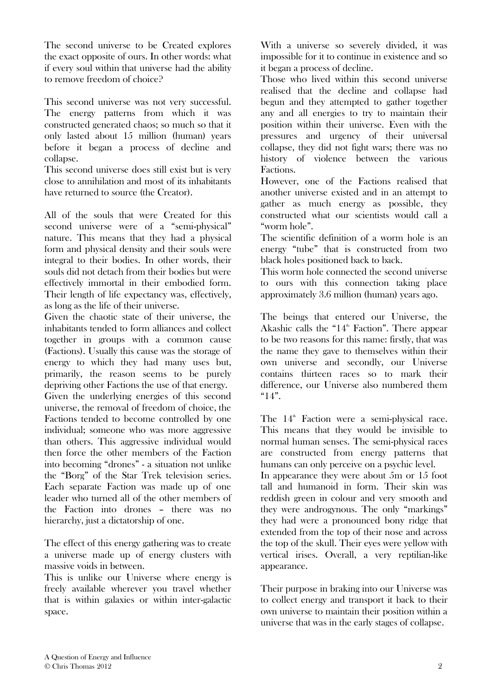The second universe to be Created explores the exact opposite of ours. In other words: what if every soul within that universe had the ability to remove freedom of choice?

This second universe was not very successful. The energy patterns from which it was constructed generated chaos; so much so that it only lasted about 15 million (human) years before it began a process of decline and collapse.

This second universe does still exist but is very close to annihilation and most of its inhabitants have returned to source (the Creator).

All of the souls that were Created for this second universe were of a "semi-physical" nature. This means that they had a physical form and physical density and their souls were integral to their bodies. In other words, their souls did not detach from their bodies but were effectively immortal in their embodied form. Their length of life expectancy was, effectively, as long as the life of their universe.

Given the chaotic state of their universe, the inhabitants tended to form alliances and collect together in groups with a common cause (Factions). Usually this cause was the storage of energy to which they had many uses but, primarily, the reason seems to be purely depriving other Factions the use of that energy. Given the underlying energies of this second universe, the removal of freedom of choice, the Factions tended to become controlled by one individual; someone who was more aggressive than others. This aggressive individual would then force the other members of the Faction into becoming "drones" - a situation not unlike the "Borg" of the Star Trek television series. Each separate Faction was made up of one leader who turned all of the other members of the Faction into drones – there was no hierarchy, just a dictatorship of one.

The effect of this energy gathering was to create a universe made up of energy clusters with massive voids in between.

This is unlike our Universe where energy is freely available wherever you travel whether that is within galaxies or within inter-galactic space.

With a universe so severely divided, it was impossible for it to continue in existence and so it began a process of decline.

Those who lived within this second universe realised that the decline and collapse had begun and they attempted to gather together any and all energies to try to maintain their position within their universe. Even with the pressures and urgency of their universal collapse, they did not fight wars; there was no history of violence between the various Factions.

However, one of the Factions realised that another universe existed and in an attempt to gather as much energy as possible, they constructed what our scientists would call a "worm hole".

The scientific definition of a worm hole is an energy "tube" that is constructed from two black holes positioned back to back.

This worm hole connected the second universe to ours with this connection taking place approximately 3.6 million (human) years ago.

The beings that entered our Universe, the Akashic calls the " $14^{\text{th}}$  Faction". There appear to be two reasons for this name: firstly, that was the name they gave to themselves within their own universe and secondly, our Universe contains thirteen races so to mark their difference, our Universe also numbered them  $"14"$ .

The  $14<sup>th</sup>$  Faction were a semi-physical race. This means that they would be invisible to normal human senses. The semi-physical races are constructed from energy patterns that humans can only perceive on a psychic level. In appearance they were about 5m or 15 foot

tall and humanoid in form. Their skin was reddish green in colour and very smooth and they were androgynous. The only "markings" they had were a pronounced bony ridge that extended from the top of their nose and across the top of the skull. Their eyes were yellow with vertical irises. Overall, a very reptilian-like appearance.

Their purpose in braking into our Universe was to collect energy and transport it back to their own universe to maintain their position within a universe that was in the early stages of collapse.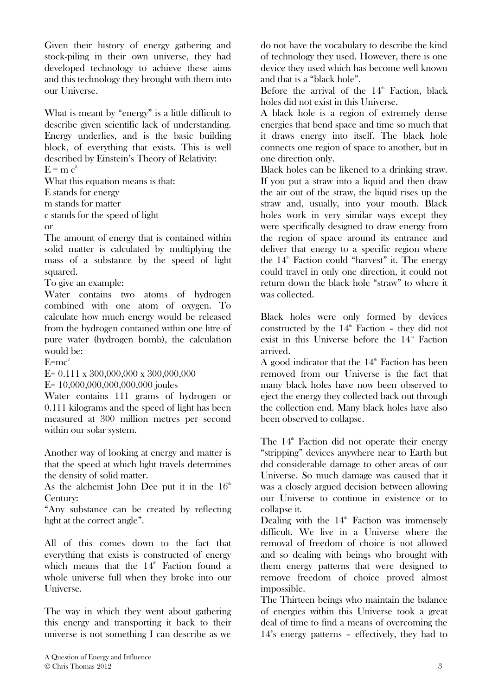Given their history of energy gathering and stock-piling in their own universe, they had developed technology to achieve these aims and this technology they brought with them into our Universe.

What is meant by "energy" is a little difficult to describe given scientific lack of understanding. Energy underlies, and is the basic building block, of everything that exists. This is well described by Einstein's Theory of Relativity:

 $E = m c<sup>2</sup>$ 

What this equation means is that:

E stands for energy

m stands for matter

c stands for the speed of light

or

The amount of energy that is contained within solid matter is calculated by multiplying the mass of a substance by the speed of light squared.

To give an example:

Water contains two atoms of hydrogen combined with one atom of oxygen. To calculate how much energy would be released from the hydrogen contained within one litre of pure water (hydrogen bomb), the calculation would be:

 $E=mc^2$ 

 $E= 0.111 \times 300,000,000 \times 300,000,000$ 

E= 10,000,000,000,000,000 joules

Water contains 111 grams of hydrogen or 0.111 kilograms and the speed of light has been measured at 300 million metres per second within our solar system.

Another way of looking at energy and matter is that the speed at which light travels determines the density of solid matter.

As the alchemist John Dee put it in the  $16<sup>th</sup>$ Century:

"Any substance can be created by reflecting light at the correct angle".

All of this comes down to the fact that everything that exists is constructed of energy which means that the  $14<sup>th</sup>$  Faction found a whole universe full when they broke into our Universe.

The way in which they went about gathering this energy and transporting it back to their universe is not something I can describe as we

do not have the vocabulary to describe the kind of technology they used. However, there is one device they used which has become well known and that is a "black hole".

Before the arrival of the  $14<sup>th</sup>$  Faction, black holes did not exist in this Universe.

A black hole is a region of extremely dense energies that bend space and time so much that it draws energy into itself. The black hole connects one region of space to another, but in one direction only.

Black holes can be likened to a drinking straw. If you put a straw into a liquid and then draw the air out of the straw, the liquid rises up the straw and, usually, into your mouth. Black holes work in very similar ways except they were specifically designed to draw energy from the region of space around its entrance and deliver that energy to a specific region where the  $14^{\text{th}}$  Faction could "harvest" it. The energy could travel in only one direction, it could not return down the black hole "straw" to where it was collected.

Black holes were only formed by devices constructed by the  $14^{\text{th}}$  Faction – they did not exist in this Universe before the  $14<sup>th</sup>$  Faction arrived.

A good indicator that the  $14<sup>th</sup>$  Faction has been removed from our Universe is the fact that many black holes have now been observed to eject the energy they collected back out through the collection end. Many black holes have also been observed to collapse.

The  $14^{\text{th}}$  Faction did not operate their energy "stripping" devices anywhere near to Earth but did considerable damage to other areas of our Universe. So much damage was caused that it was a closely argued decision between allowing our Universe to continue in existence or to collapse it.

Dealing with the  $14<sup>th</sup>$  Faction was immensely difficult. We live in a Universe where the removal of freedom of choice is not allowed and so dealing with beings who brought with them energy patterns that were designed to remove freedom of choice proved almost impossible.

The Thirteen beings who maintain the balance of energies within this Universe took a great deal of time to find a means of overcoming the 14's energy patterns – effectively, they had to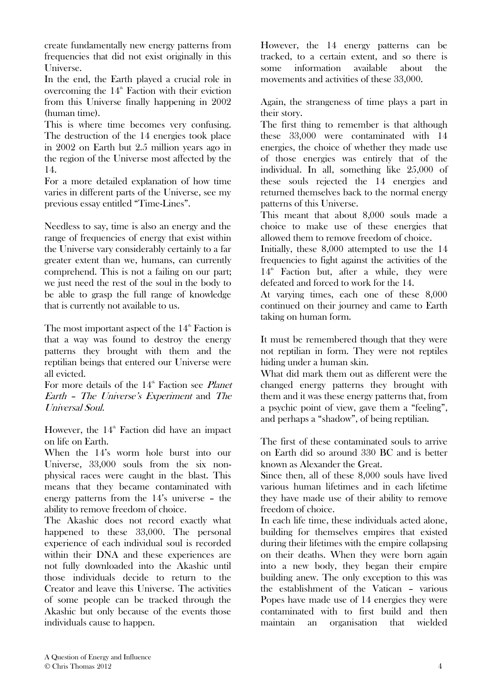create fundamentally new energy patterns from frequencies that did not exist originally in this Universe.

In the end, the Earth played a crucial role in overcoming the  $14<sup>th</sup>$  Faction with their eviction from this Universe finally happening in 2002 (human time).

This is where time becomes very confusing. The destruction of the 14 energies took place in 2002 on Earth but 2.5 million years ago in the region of the Universe most affected by the 14.

For a more detailed explanation of how time varies in different parts of the Universe, see my previous essay entitled "Time-Lines".

Needless to say, time is also an energy and the range of frequencies of energy that exist within the Universe vary considerably certainly to a far greater extent than we, humans, can currently comprehend. This is not a failing on our part; we just need the rest of the soul in the body to be able to grasp the full range of knowledge that is currently not available to us.

The most important aspect of the  $14<sup>th</sup>$  Faction is that a way was found to destroy the energy patterns they brought with them and the reptilian beings that entered our Universe were all evicted.

For more details of the  $14<sup>th</sup>$  Faction see *Planet* Earth – The Universe's Experiment and The Universal Soul.

However, the  $14^{\text{th}}$  Faction did have an impact on life on Earth.

When the 14's worm hole burst into our Universe, 33,000 souls from the six nonphysical races were caught in the blast. This means that they became contaminated with energy patterns from the 14's universe – the ability to remove freedom of choice.

The Akashic does not record exactly what happened to these 33,000. The personal experience of each individual soul is recorded within their DNA and these experiences are not fully downloaded into the Akashic until those individuals decide to return to the Creator and leave this Universe. The activities of some people can be tracked through the Akashic but only because of the events those individuals cause to happen.

However, the 14 energy patterns can be tracked, to a certain extent, and so there is some information available about the movements and activities of these 33,000.

Again, the strangeness of time plays a part in their story.

The first thing to remember is that although these 33,000 were contaminated with 14 energies, the choice of whether they made use of those energies was entirely that of the individual. In all, something like 25,000 of these souls rejected the 14 energies and returned themselves back to the normal energy patterns of this Universe.

This meant that about 8,000 souls made a choice to make use of these energies that allowed them to remove freedom of choice.

Initially, these 8,000 attempted to use the 14 frequencies to fight against the activities of the  $14<sup>th</sup>$  Faction but, after a while, they were defeated and forced to work for the 14.

At varying times, each one of these 8,000 continued on their journey and came to Earth taking on human form.

It must be remembered though that they were not reptilian in form. They were not reptiles hiding under a human skin.

What did mark them out as different were the changed energy patterns they brought with them and it was these energy patterns that, from a psychic point of view, gave them a "feeling", and perhaps a "shadow", of being reptilian.

The first of these contaminated souls to arrive on Earth did so around 330 BC and is better known as Alexander the Great.

Since then, all of these 8,000 souls have lived various human lifetimes and in each lifetime they have made use of their ability to remove freedom of choice.

In each life time, these individuals acted alone, building for themselves empires that existed during their lifetimes with the empire collapsing on their deaths. When they were born again into a new body, they began their empire building anew. The only exception to this was the establishment of the Vatican – various Popes have made use of 14 energies they were contaminated with to first build and then maintain an organisation that wielded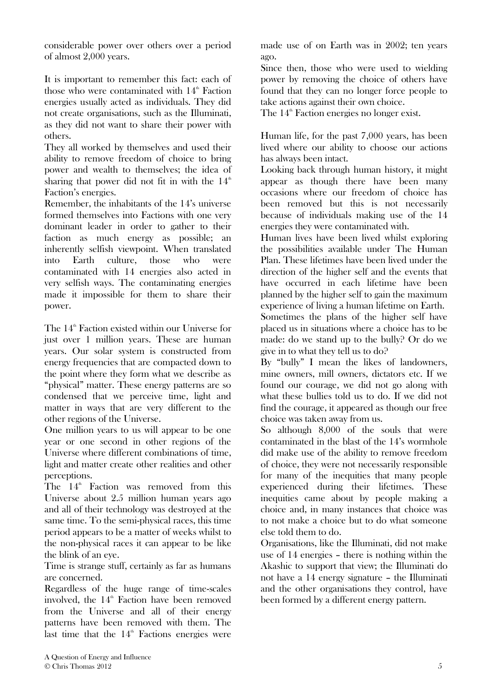considerable power over others over a period of almost 2,000 years.

It is important to remember this fact: each of those who were contaminated with  $14<sup>th</sup>$  Faction energies usually acted as individuals. They did not create organisations, such as the Illuminati, as they did not want to share their power with others.

They all worked by themselves and used their ability to remove freedom of choice to bring power and wealth to themselves; the idea of sharing that power did not fit in with the  $14<sup>th</sup>$ Faction's energies.

Remember, the inhabitants of the 14's universe formed themselves into Factions with one very dominant leader in order to gather to their faction as much energy as possible; an inherently selfish viewpoint. When translated into Earth culture, those who were contaminated with 14 energies also acted in very selfish ways. The contaminating energies made it impossible for them to share their power.

The  $14^{\text{th}}$  Faction existed within our Universe for just over 1 million years. These are human years. Our solar system is constructed from energy frequencies that are compacted down to the point where they form what we describe as "physical" matter. These energy patterns are so condensed that we perceive time, light and matter in ways that are very different to the other regions of the Universe.

One million years to us will appear to be one year or one second in other regions of the Universe where different combinations of time, light and matter create other realities and other perceptions.

The  $14<sup>th</sup>$  Faction was removed from this Universe about 2.5 million human years ago and all of their technology was destroyed at the same time. To the semi-physical races, this time period appears to be a matter of weeks whilst to the non-physical races it can appear to be like the blink of an eye.

Time is strange stuff, certainly as far as humans are concerned.

Regardless of the huge range of time-scales involved, the  $14<sup>th</sup>$  Faction have been removed from the Universe and all of their energy patterns have been removed with them. The last time that the  $14<sup>th</sup>$  Factions energies were

made use of on Earth was in 2002; ten years ago.

Since then, those who were used to wielding power by removing the choice of others have found that they can no longer force people to take actions against their own choice.

The  $14^{\text{th}}$  Faction energies no longer exist.

Human life, for the past 7,000 years, has been lived where our ability to choose our actions has always been intact.

Looking back through human history, it might appear as though there have been many occasions where our freedom of choice has been removed but this is not necessarily because of individuals making use of the 14 energies they were contaminated with.

Human lives have been lived whilst exploring the possibilities available under The Human Plan. These lifetimes have been lived under the direction of the higher self and the events that have occurred in each lifetime have been planned by the higher self to gain the maximum experience of living a human lifetime on Earth.

Sometimes the plans of the higher self have placed us in situations where a choice has to be made: do we stand up to the bully? Or do we give in to what they tell us to do?

By "bully" I mean the likes of landowners, mine owners, mill owners, dictators etc. If we found our courage, we did not go along with what these bullies told us to do. If we did not find the courage, it appeared as though our free choice was taken away from us.

So although 8,000 of the souls that were contaminated in the blast of the 14's wormhole did make use of the ability to remove freedom of choice, they were not necessarily responsible for many of the inequities that many people experienced during their lifetimes. These inequities came about by people making a choice and, in many instances that choice was to not make a choice but to do what someone else told them to do.

Organisations, like the Illuminati, did not make use of 14 energies – there is nothing within the Akashic to support that view; the Illuminati do not have a 14 energy signature – the Illuminati and the other organisations they control, have been formed by a different energy pattern.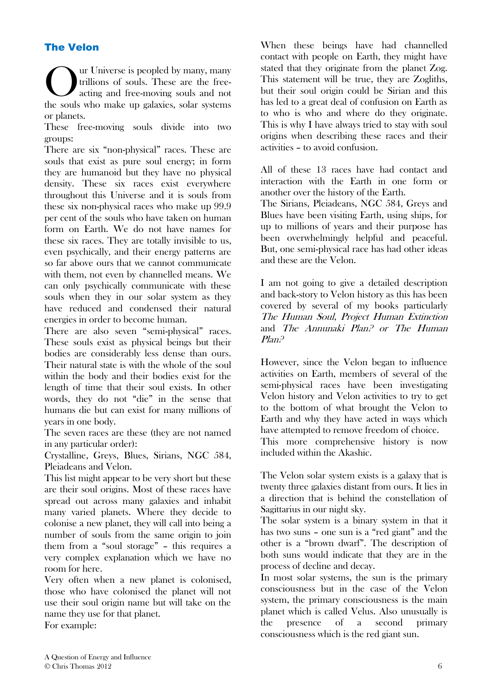### The Velon

ur Universe is peopled by many, many trillions of souls. These are the freeacting and free-moving souls and not the souls who make up galaxies, solar systems or planets. O

These free-moving souls divide into two groups:

There are six "non-physical" races. These are souls that exist as pure soul energy; in form they are humanoid but they have no physical density. These six races exist everywhere throughout this Universe and it is souls from these six non-physical races who make up 99.9 per cent of the souls who have taken on human form on Earth. We do not have names for these six races. They are totally invisible to us, even psychically, and their energy patterns are so far above ours that we cannot communicate with them, not even by channelled means. We can only psychically communicate with these souls when they in our solar system as they have reduced and condensed their natural energies in order to become human.

There are also seven "semi-physical" races. These souls exist as physical beings but their bodies are considerably less dense than ours. Their natural state is with the whole of the soul within the body and their bodies exist for the length of time that their soul exists. In other words, they do not "die" in the sense that humans die but can exist for many millions of years in one body.

The seven races are these (they are not named in any particular order):

Crystalline, Greys, Blues, Sirians, NGC 584, Pleiadeans and Velon.

This list might appear to be very short but these are their soul origins. Most of these races have spread out across many galaxies and inhabit many varied planets. Where they decide to colonise a new planet, they will call into being a number of souls from the same origin to join them from a "soul storage" – this requires a very complex explanation which we have no room for here.

Very often when a new planet is colonised, those who have colonised the planet will not use their soul origin name but will take on the name they use for that planet.

For example:

When these beings have had channelled contact with people on Earth, they might have stated that they originate from the planet Zog. This statement will be true, they are Zogliths, but their soul origin could be Sirian and this has led to a great deal of confusion on Earth as to who is who and where do they originate. This is why I have always tried to stay with soul origins when describing these races and their activities – to avoid confusion.

All of these 13 races have had contact and interaction with the Earth in one form or another over the history of the Earth.

The Sirians, Pleiadeans, NGC 584, Greys and Blues have been visiting Earth, using ships, for up to millions of years and their purpose has been overwhelmingly helpful and peaceful. But, one semi-physical race has had other ideas and these are the Velon.

I am not going to give a detailed description and back-story to Velon history as this has been covered by several of my books particularly The Human Soul, Project Human Extinction and The Annunaki Plan? or The Human Plan?

However, since the Velon began to influence activities on Earth, members of several of the semi-physical races have been investigating Velon history and Velon activities to try to get to the bottom of what brought the Velon to Earth and why they have acted in ways which have attempted to remove freedom of choice.

This more comprehensive history is now included within the Akashic.

The Velon solar system exists is a galaxy that is twenty three galaxies distant from ours. It lies in a direction that is behind the constellation of Sagittarius in our night sky.

The solar system is a binary system in that it has two suns – one sun is a "red giant" and the other is a "brown dwarf". The description of both suns would indicate that they are in the process of decline and decay.

In most solar systems, the sun is the primary consciousness but in the case of the Velon system, the primary consciousness is the main planet which is called Velus. Also unusually is the presence of a second primary consciousness which is the red giant sun.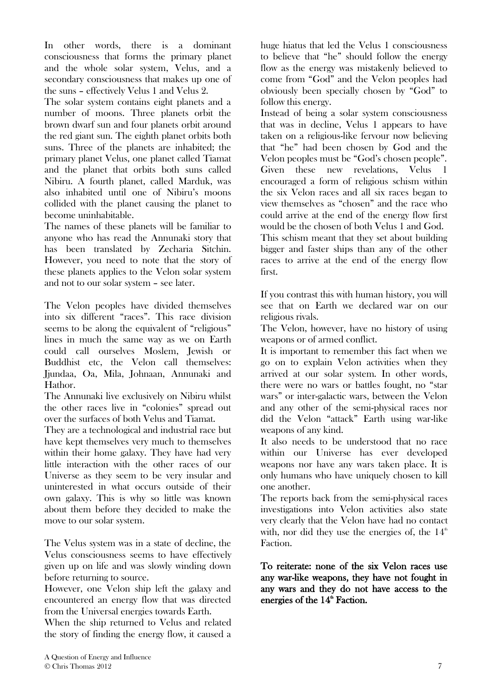In other words, there is a dominant consciousness that forms the primary planet and the whole solar system, Velus, and a secondary consciousness that makes up one of the suns – effectively Velus 1 and Velus 2.

The solar system contains eight planets and a number of moons. Three planets orbit the brown dwarf sun and four planets orbit around the red giant sun. The eighth planet orbits both suns. Three of the planets are inhabited; the primary planet Velus, one planet called Tiamat and the planet that orbits both suns called Nibiru. A fourth planet, called Marduk, was also inhabited until one of Nibiru's moons collided with the planet causing the planet to become uninhabitable.

The names of these planets will be familiar to anyone who has read the Annunaki story that has been translated by Zecharia Sitchin. However, you need to note that the story of these planets applies to the Velon solar system and not to our solar system – see later.

The Velon peoples have divided themselves into six different "races". This race division seems to be along the equivalent of "religious" lines in much the same way as we on Earth could call ourselves Moslem, Jewish or Buddhist etc, the Velon call themselves: Jjundaa, Oa, Mila, Johnaan, Annunaki and Hathor.

The Annunaki live exclusively on Nibiru whilst the other races live in "colonies" spread out over the surfaces of both Velus and Tiamat.

They are a technological and industrial race but have kept themselves very much to themselves within their home galaxy. They have had very little interaction with the other races of our Universe as they seem to be very insular and uninterested in what occurs outside of their own galaxy. This is why so little was known about them before they decided to make the move to our solar system.

The Velus system was in a state of decline, the Velus consciousness seems to have effectively given up on life and was slowly winding down before returning to source.

However, one Velon ship left the galaxy and encountered an energy flow that was directed from the Universal energies towards Earth.

When the ship returned to Velus and related the story of finding the energy flow, it caused a

huge hiatus that led the Velus 1 consciousness to believe that "he" should follow the energy flow as the energy was mistakenly believed to come from "God" and the Velon peoples had obviously been specially chosen by "God" to follow this energy.

Instead of being a solar system consciousness that was in decline, Velus 1 appears to have taken on a religious-like fervour now believing that "he" had been chosen by God and the Velon peoples must be "God's chosen people". Given these new revelations, Velus 1 encouraged a form of religious schism within the six Velon races and all six races began to view themselves as "chosen" and the race who could arrive at the end of the energy flow first would be the chosen of both Velus 1 and God.

This schism meant that they set about building bigger and faster ships than any of the other races to arrive at the end of the energy flow first.

If you contrast this with human history, you will see that on Earth we declared war on our religious rivals.

The Velon, however, have no history of using weapons or of armed conflict.

It is important to remember this fact when we go on to explain Velon activities when they arrived at our solar system. In other words, there were no wars or battles fought, no "star wars" or inter-galactic wars, between the Velon and any other of the semi-physical races nor did the Velon "attack" Earth using war-like weapons of any kind.

It also needs to be understood that no race within our Universe has ever developed weapons nor have any wars taken place. It is only humans who have uniquely chosen to kill one another.

The reports back from the semi-physical races investigations into Velon activities also state very clearly that the Velon have had no contact with, nor did they use the energies of, the  $14<sup>th</sup>$ Faction.

To reiterate: none of the six Velon races use any war-like weapons, they have not fought in any wars and they do not have access to the energies of the  $14<sup>th</sup>$  Faction.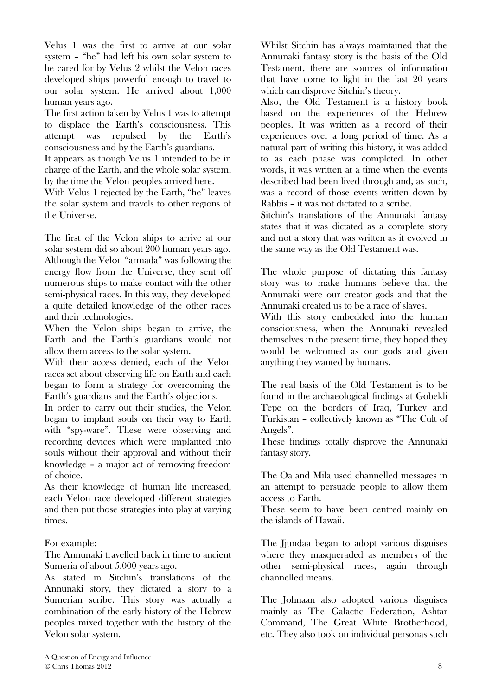Velus 1 was the first to arrive at our solar system – "he" had left his own solar system to be cared for by Velus 2 whilst the Velon races developed ships powerful enough to travel to our solar system. He arrived about 1,000 human years ago.

The first action taken by Velus 1 was to attempt to displace the Earth's consciousness. This attempt was repulsed by the Earth's consciousness and by the Earth's guardians.

It appears as though Velus 1 intended to be in charge of the Earth, and the whole solar system, by the time the Velon peoples arrived here.

With Velus 1 rejected by the Earth, "he" leaves the solar system and travels to other regions of the Universe.

The first of the Velon ships to arrive at our solar system did so about 200 human years ago. Although the Velon "armada" was following the energy flow from the Universe, they sent off numerous ships to make contact with the other semi-physical races. In this way, they developed a quite detailed knowledge of the other races and their technologies.

When the Velon ships began to arrive, the Earth and the Earth's guardians would not allow them access to the solar system.

With their access denied, each of the Velon races set about observing life on Earth and each began to form a strategy for overcoming the Earth's guardians and the Earth's objections.

In order to carry out their studies, the Velon began to implant souls on their way to Earth with "spy-ware". These were observing and recording devices which were implanted into souls without their approval and without their knowledge – a major act of removing freedom of choice.

As their knowledge of human life increased, each Velon race developed different strategies and then put those strategies into play at varying times.

For example:

The Annunaki travelled back in time to ancient Sumeria of about 5,000 years ago.

As stated in Sitchin's translations of the Annunaki story, they dictated a story to a Sumerian scribe. This story was actually a combination of the early history of the Hebrew peoples mixed together with the history of the Velon solar system.

Whilst Sitchin has always maintained that the Annunaki fantasy story is the basis of the Old Testament, there are sources of information that have come to light in the last 20 years which can disprove Sitchin's theory.

Also, the Old Testament is a history book based on the experiences of the Hebrew peoples. It was written as a record of their experiences over a long period of time. As a natural part of writing this history, it was added to as each phase was completed. In other words, it was written at a time when the events described had been lived through and, as such, was a record of those events written down by Rabbis – it was not dictated to a scribe.

Sitchin's translations of the Annunaki fantasy states that it was dictated as a complete story and not a story that was written as it evolved in the same way as the Old Testament was.

The whole purpose of dictating this fantasy story was to make humans believe that the Annunaki were our creator gods and that the Annunaki created us to be a race of slaves.

With this story embedded into the human consciousness, when the Annunaki revealed themselves in the present time, they hoped they would be welcomed as our gods and given anything they wanted by humans.

The real basis of the Old Testament is to be found in the archaeological findings at Gobekli Tepe on the borders of Iraq, Turkey and Turkistan – collectively known as "The Cult of Angels".

These findings totally disprove the Annunaki fantasy story.

The Oa and Mila used channelled messages in an attempt to persuade people to allow them access to Earth.

These seem to have been centred mainly on the islands of Hawaii.

The Jjundaa began to adopt various disguises where they masqueraded as members of the other semi-physical races, again through channelled means.

The Johnaan also adopted various disguises mainly as The Galactic Federation, Ashtar Command, The Great White Brotherhood, etc. They also took on individual personas such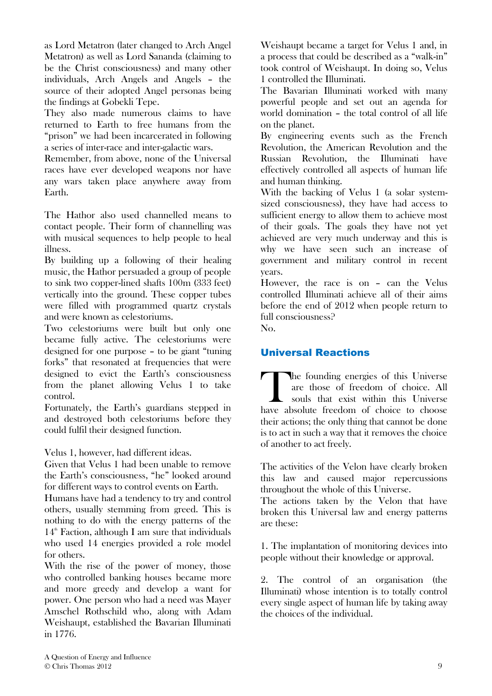as Lord Metatron (later changed to Arch Angel Metatron) as well as Lord Sananda (claiming to be the Christ consciousness) and many other individuals, Arch Angels and Angels – the source of their adopted Angel personas being the findings at Gobekli Tepe.

They also made numerous claims to have returned to Earth to free humans from the "prison" we had been incarcerated in following a series of inter-race and inter-galactic wars.

Remember, from above, none of the Universal races have ever developed weapons nor have any wars taken place anywhere away from Earth.

The Hathor also used channelled means to contact people. Their form of channelling was with musical sequences to help people to heal illness.

By building up a following of their healing music, the Hathor persuaded a group of people to sink two copper-lined shafts 100m (333 feet) vertically into the ground. These copper tubes were filled with programmed quartz crystals and were known as celestoriums.

Two celestoriums were built but only one became fully active. The celestoriums were designed for one purpose – to be giant "tuning forks" that resonated at frequencies that were designed to evict the Earth's consciousness from the planet allowing Velus 1 to take control.

Fortunately, the Earth's guardians stepped in and destroyed both celestoriums before they could fulfil their designed function.

Velus 1, however, had different ideas.

Given that Velus 1 had been unable to remove the Earth's consciousness, "he" looked around for different ways to control events on Earth.

Humans have had a tendency to try and control others, usually stemming from greed. This is nothing to do with the energy patterns of the  $14<sup>th</sup>$  Faction, although I am sure that individuals who used 14 energies provided a role model for others.

With the rise of the power of money, those who controlled banking houses became more and more greedy and develop a want for power. One person who had a need was Mayer Amschel Rothschild who, along with Adam Weishaupt, established the Bavarian Illuminati in 1776.

Weishaupt became a target for Velus 1 and, in a process that could be described as a "walk-in" took control of Weishaupt. In doing so, Velus 1 controlled the Illuminati.

The Bavarian Illuminati worked with many powerful people and set out an agenda for world domination – the total control of all life on the planet.

By engineering events such as the French Revolution, the American Revolution and the Russian Revolution, the Illuminati have effectively controlled all aspects of human life and human thinking.

With the backing of Velus 1 (a solar systemsized consciousness), they have had access to sufficient energy to allow them to achieve most of their goals. The goals they have not yet achieved are very much underway and this is why we have seen such an increase of government and military control in recent years.

However, the race is on – can the Velus controlled Illuminati achieve all of their aims before the end of 2012 when people return to full consciousness?

No.

## Universal Reactions

he founding energies of this Universe are those of freedom of choice. All souls that exist within this Universe The founding energies of this Universe<br>are those of freedom of choice. All<br>souls that exist within this Universe<br>have absolute freedom of choice to choose their actions; the only thing that cannot be done is to act in such a way that it removes the choice of another to act freely.

The activities of the Velon have clearly broken this law and caused major repercussions throughout the whole of this Universe.

The actions taken by the Velon that have broken this Universal law and energy patterns are these:

1. The implantation of monitoring devices into people without their knowledge or approval.

2. The control of an organisation (the Illuminati) whose intention is to totally control every single aspect of human life by taking away the choices of the individual.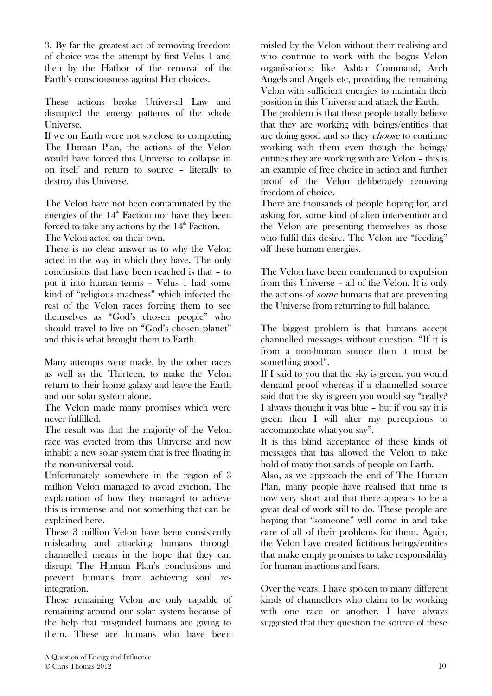3. By far the greatest act of removing freedom of choice was the attempt by first Velus 1 and then by the Hathor of the removal of the Earth's consciousness against Her choices.

These actions broke Universal Law and disrupted the energy patterns of the whole Universe.

If we on Earth were not so close to completing The Human Plan, the actions of the Velon would have forced this Universe to collapse in on itself and return to source – literally to destroy this Universe.

The Velon have not been contaminated by the energies of the  $14<sup>th</sup>$  Faction nor have they been forced to take any actions by the  $14<sup>th</sup>$  Faction.

The Velon acted on their own.

There is no clear answer as to why the Velon acted in the way in which they have. The only conclusions that have been reached is that – to put it into human terms – Velus 1 had some kind of "religious madness" which infected the rest of the Velon races forcing them to see themselves as "God's chosen people" who should travel to live on "God's chosen planet" and this is what brought them to Earth.

Many attempts were made, by the other races as well as the Thirteen, to make the Velon return to their home galaxy and leave the Earth and our solar system alone.

The Velon made many promises which were never fulfilled.

The result was that the majority of the Velon race was evicted from this Universe and now inhabit a new solar system that is free floating in the non-universal void.

Unfortunately somewhere in the region of 3 million Velon managed to avoid eviction. The explanation of how they managed to achieve this is immense and not something that can be explained here.

These 3 million Velon have been consistently misleading and attacking humans through channelled means in the hope that they can disrupt The Human Plan's conclusions and prevent humans from achieving soul reintegration.

These remaining Velon are only capable of remaining around our solar system because of the help that misguided humans are giving to them. These are humans who have been

misled by the Velon without their realising and who continue to work with the bogus Velon organisations; like Ashtar Command, Arch Angels and Angels etc, providing the remaining Velon with sufficient energies to maintain their position in this Universe and attack the Earth.

The problem is that these people totally believe that they are working with beings/entities that are doing good and so they choose to continue working with them even though the beings/ entities they are working with are Velon – this is an example of free choice in action and further proof of the Velon deliberately removing freedom of choice.

There are thousands of people hoping for, and asking for, some kind of alien intervention and the Velon are presenting themselves as those who fulfil this desire. The Velon are "feeding" off these human energies.

The Velon have been condemned to expulsion from this Universe – all of the Velon. It is only the actions of some humans that are preventing the Universe from returning to full balance.

The biggest problem is that humans accept channelled messages without question. "If it is from a non-human source then it must be something good".

If I said to you that the sky is green, you would demand proof whereas if a channelled source said that the sky is green you would say "really? I always thought it was blue – but if you say it is green then I will alter my perceptions to accommodate what you say".

It is this blind acceptance of these kinds of messages that has allowed the Velon to take hold of many thousands of people on Earth.

Also, as we approach the end of The Human Plan, many people have realised that time is now very short and that there appears to be a great deal of work still to do. These people are hoping that "someone" will come in and take care of all of their problems for them. Again, the Velon have created fictitious beings/entities that make empty promises to take responsibility for human inactions and fears.

Over the years, I have spoken to many different kinds of channellers who claim to be working with one race or another. I have always suggested that they question the source of these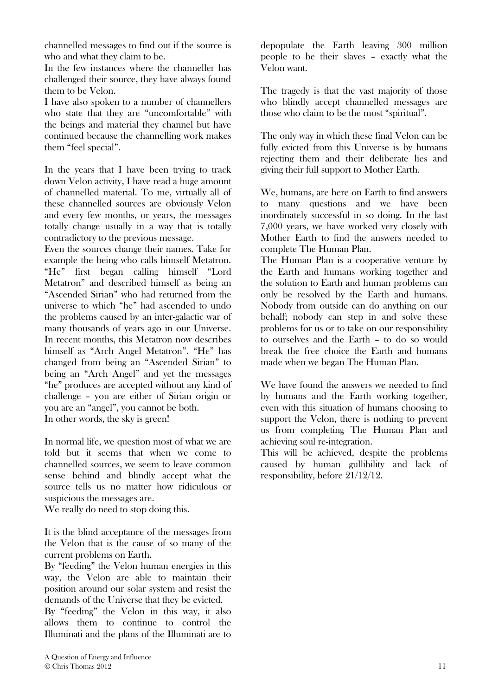channelled messages to find out if the source is who and what they claim to be.

In the few instances where the channeller has challenged their source, they have always found them to be Velon.

I have also spoken to a number of channellers who state that they are "uncomfortable" with the beings and material they channel but have continued because the channelling work makes them "feel special".

In the years that I have been trying to track down Velon activity, I have read a huge amount of channelled material. To me, virtually all of these channelled sources are obviously Velon and every few months, or years, the messages totally change usually in a way that is totally contradictory to the previous message.

Even the sources change their names. Take for example the being who calls himself Metatron. "He" first began calling himself "Lord Metatron" and described himself as being an "Ascended Sirian" who had returned from the universe to which "he" had ascended to undo the problems caused by an inter-galactic war of many thousands of years ago in our Universe. In recent months, this Metatron now describes himself as "Arch Angel Metatron". "He" has changed from being an "Ascended Sirian" to being an "Arch Angel" and yet the messages "he" produces are accepted without any kind of challenge – you are either of Sirian origin or you are an "angel", you cannot be both. In other words, the sky is green!

In normal life, we question most of what we are told but it seems that when we come to channelled sources, we seem to leave common sense behind and blindly accept what the source tells us no matter how ridiculous or suspicious the messages are.

We really do need to stop doing this.

It is the blind acceptance of the messages from the Velon that is the cause of so many of the current problems on Earth.

By "feeding" the Velon human energies in this way, the Velon are able to maintain their position around our solar system and resist the demands of the Universe that they be evicted.

By "feeding" the Velon in this way, it also allows them to continue to control the Illuminati and the plans of the Illuminati are to depopulate the Earth leaving 300 million people to be their slaves – exactly what the Velon want.

The tragedy is that the vast majority of those who blindly accept channelled messages are those who claim to be the most "spiritual".

The only way in which these final Velon can be fully evicted from this Universe is by humans rejecting them and their deliberate lies and giving their full support to Mother Earth.

We, humans, are here on Earth to find answers to many questions and we have been inordinately successful in so doing. In the last 7,000 years, we have worked very closely with Mother Earth to find the answers needed to complete The Human Plan.

The Human Plan is a cooperative venture by the Earth and humans working together and the solution to Earth and human problems can only be resolved by the Earth and humans. Nobody from outside can do anything on our behalf; nobody can step in and solve these problems for us or to take on our responsibility to ourselves and the Earth – to do so would break the free choice the Earth and humans made when we began The Human Plan.

We have found the answers we needed to find by humans and the Earth working together, even with this situation of humans choosing to support the Velon, there is nothing to prevent us from completing The Human Plan and achieving soul re-integration.

This will be achieved, despite the problems caused by human gullibility and lack of responsibility, before 21/12/12.